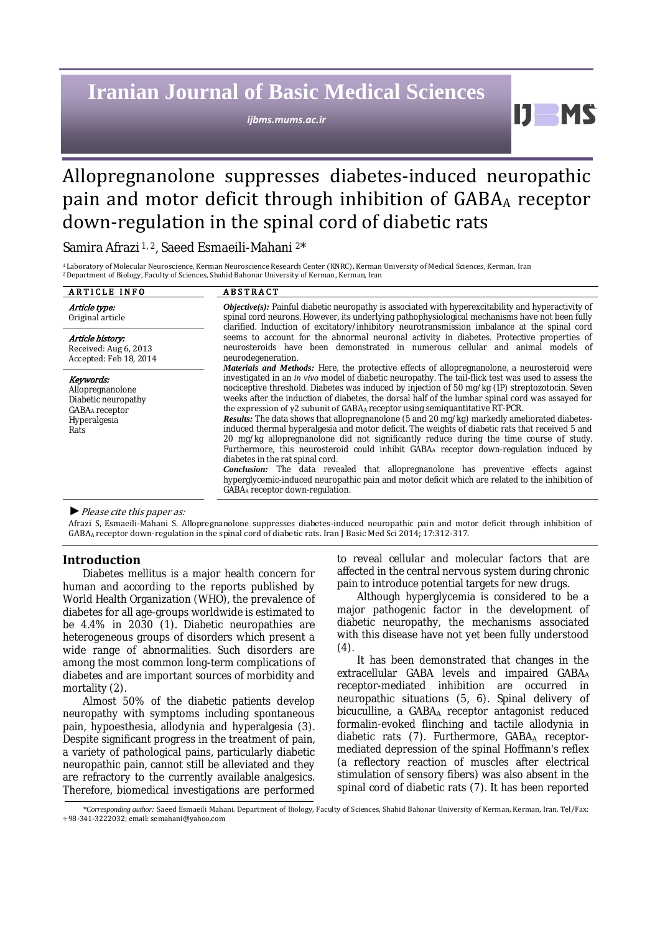# **Iranian Journal of Basic Medical Sciences**

*ijbms.mums.ac.ir*

H

# Allopregnanolone suppresses diabetes-induced neuropathic pain and motor deficit through inhibition of GABA<sup>A</sup> receptor down-regulation in the spinal cord of diabetic rats

Samira Afrazi 1, <sup>2</sup>, Saeed Esmaeili-Mahani <sup>2</sup>\*

<sup>1</sup> Laboratory of Molecular Neuroscience, Kerman Neuroscience Research Center (KNRC), Kerman University of Medical Sciences, Kerman, Iran <sup>2</sup>Department of Biology, Faculty of Sciences, Shahid Bahonar University of Kerman, Kerman, Iran

| <b>ARTICLE INFO</b>                                                                                        | <b>ABSTRACT</b>                                                                                                                                                                                                                                                                                                                                                                                                                                                                                                                                                                                                                                                                                                                                                                                                                                                                                                                                                                                                                                                                                                                                               |  |  |  |
|------------------------------------------------------------------------------------------------------------|---------------------------------------------------------------------------------------------------------------------------------------------------------------------------------------------------------------------------------------------------------------------------------------------------------------------------------------------------------------------------------------------------------------------------------------------------------------------------------------------------------------------------------------------------------------------------------------------------------------------------------------------------------------------------------------------------------------------------------------------------------------------------------------------------------------------------------------------------------------------------------------------------------------------------------------------------------------------------------------------------------------------------------------------------------------------------------------------------------------------------------------------------------------|--|--|--|
| Article type:<br>Original article                                                                          | <b>Objective(s):</b> Painful diabetic neuropathy is associated with hyperexcitability and hyperactivity of<br>spinal cord neurons. However, its underlying pathophysiological mechanisms have not been fully<br>clarified. Induction of excitatory/inhibitory neurotransmission imbalance at the spinal cord                                                                                                                                                                                                                                                                                                                                                                                                                                                                                                                                                                                                                                                                                                                                                                                                                                                  |  |  |  |
| Article history:<br>Received: Aug 6, 2013<br>Accepted: Feb 18, 2014                                        | seems to account for the abnormal neuronal activity in diabetes. Protective properties of<br>neurosteroids have been demonstrated in numerous cellular and animal models of<br>neurodegeneration.                                                                                                                                                                                                                                                                                                                                                                                                                                                                                                                                                                                                                                                                                                                                                                                                                                                                                                                                                             |  |  |  |
| Keywords:<br>Allopregnanolone<br>Diabetic neuropathy<br>GABA <sub>A</sub> receptor<br>Hyperalgesia<br>Rats | Materials and Methods: Here, the protective effects of allopregnanolone, a neurosteroid were<br>investigated in an in vivo model of diabetic neuropathy. The tail-flick test was used to assess the<br>nociceptive threshold. Diabetes was induced by injection of 50 mg/kg (IP) streptozotocin. Seven<br>weeks after the induction of diabetes, the dorsal half of the lumbar spinal cord was assayed for<br>the expression of $y2$ subunit of GABAA receptor using semiguantitative RT-PCR.<br>Results: The data shows that allopregnanolone (5 and 20 mg/kg) markedly ameliorated diabetes-<br>induced thermal hyperalgesia and motor deficit. The weights of diabetic rats that received 5 and<br>20 mg/kg allopregnanolone did not significantly reduce during the time course of study.<br>Furthermore, this neurosteroid could inhibit GABA receptor down-regulation induced by<br>diabetes in the rat spinal cord.<br><b>Conclusion:</b> The data revealed that allopregnanolone has preventive effects against<br>hyperglycemic-induced neuropathic pain and motor deficit which are related to the inhibition of<br>GABAA receptor down-regulation. |  |  |  |

#### *►*Please cite this paper as:

Afrazi S, Esmaeili-Mahani S. Allopregnanolone suppresses diabetes-induced neuropathic pain and motor deficit through inhibition of GABA<sup>A</sup> receptor down-regulation in the spinal cord of diabetic rats. Iran J Basic Med Sci 2014; 17:312-317.

# **Introduction**

Diabetes mellitus is a major health concern for human and according to the reports published by World Health Organization (WHO), the prevalence of diabetes for all age-groups worldwide is estimated to be 4.4% in 2030 (1). Diabetic neuropathies are heterogeneous groups of disorders which present a wide range of abnormalities. Such disorders are among the most common long-term complications of diabetes and are important sources of morbidity and mortality (2).

Almost 50% of the diabetic patients develop neuropathy with symptoms including spontaneous pain, hypoesthesia, allodynia and hyperalgesia (3). Despite significant progress in the treatment of pain, a variety of pathological pains, particularly diabetic neuropathic pain, cannot still be alleviated and they are refractory to the currently available analgesics. Therefore, biomedical investigations are performed

to reveal cellular and molecular factors that are affected in the central nervous system during chronic pain to introduce potential targets for new drugs.

Although hyperglycemia is considered to be a major pathogenic factor in the development of diabetic neuropathy, the mechanisms associated with this disease have not yet been fully understood (4).

It has been demonstrated that changes in the extracellular GABA levels and impaired GABAA receptor-mediated inhibition are occurred in neuropathic situations (5, 6). Spinal delivery of bicuculline, a GABAA receptor antagonist reduced formalin-evoked flinching and tactile allodynia in diabetic rats (7). Furthermore, GABAA receptormediated depression of the spinal [Hoffmann's reflex](http://en.wikipedia.org/wiki/Hoffmann%27s_reflex) (a [reflectory reaction](http://en.wikipedia.org/wiki/Reflectory_reaction) of muscles after [electrical](http://en.wikipedia.org/wiki/Electrical) stimulation of sensory fibers) was also absent in the spinal cord of diabetic rats (7). It has been reported

*\*Corresponding author:* Saeed Esmaeili Mahani. Department of Biology, Faculty of Sciences, Shahid Bahonar University of Kerman, Kerman, Iran. Tel/Fax: +98-341-3222032; email: semahani@yahoo.com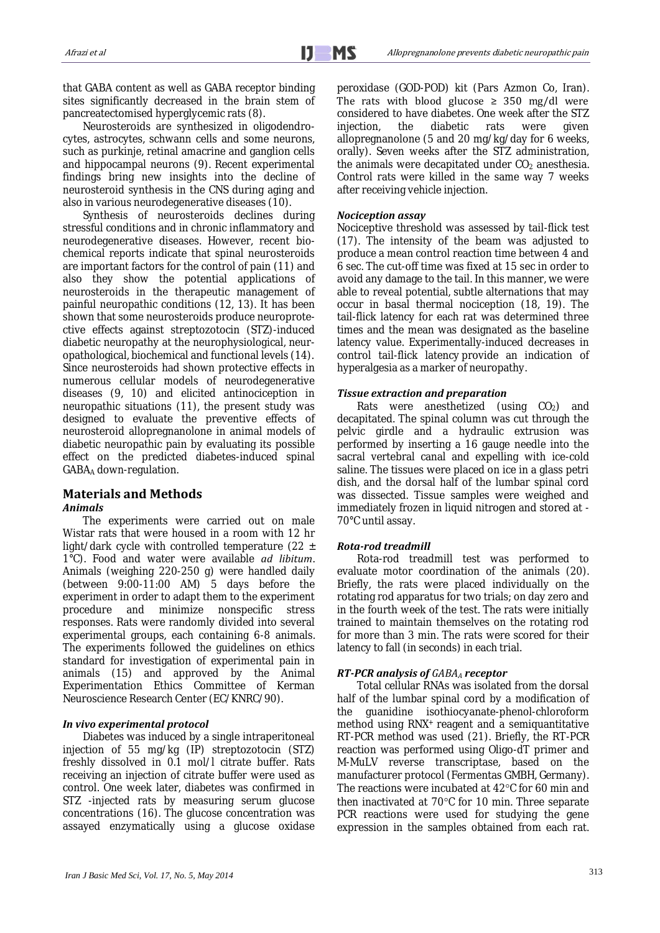that GABA content as well as GABA receptor binding sites significantly decreased in the brain stem of pancreatectomised hyperglycemic rats (8).

Neurosteroids are synthesized in oligodendrocytes, astrocytes, schwann cells and some neurons, such as purkinje, retinal amacrine and ganglion cells and hippocampal neurons (9). Recent experimental findings bring new insights into the decline of neurosteroid synthesis in the CNS during aging and also in various neurodegenerative diseases (10).

Synthesis of neurosteroids declines during stressful conditions and in chronic inflammatory and neurodegenerative diseases. However, recent biochemical reports indicate that spinal neurosteroids are important factors for the control of pain (11) and also they show the potential applications of neurosteroids in the therapeutic management of painful neuropathic conditions (12, 13). It has been shown that some neurosteroids produce neuroprotective effects against streptozotocin (STZ)-induced diabetic neuropathy at the neurophysiological, neuropathological, biochemical and functional levels (14). Since neurosteroids had shown protective effects in numerous cellular models of neurodegenerative diseases (9, 10) and elicited antinociception in neuropathic situations (11), the present study was designed to evaluate the preventive effects of neurosteroid allopregnanolone in animal models of diabetic neuropathic pain by evaluating its possible effect on the predicted diabetes-induced spinal GABA<sup>A</sup> down-regulation.

# **Materials and Methods** *Animals*

The experiments were carried out on male Wistar rats that were housed in a room with 12 hr light/dark cycle with controlled temperature (22  $\pm$ 1°C). Food and water were available *ad libitum*. Animals (weighing 220-250 g) were handled daily (between 9:00-11:00 AM) 5 days before the experiment in order to adapt them to the experiment procedure and minimize nonspecific stress responses. Rats were randomly divided into several experimental groups, each containing 6-8 animals. The experiments followed the guidelines on ethics standard for investigation of experimental pain in animals (15) and approved by the Animal Experimentation Ethics Committee of Kerman Neuroscience Research Center (EC/KNRC/90).

# *In vivo experimental protocol*

Diabetes was induced by a single intraperitoneal injection of 55 mg/kg (IP) streptozotocin (STZ) freshly dissolved in 0.1 mol/l citrate buffer. Rats receiving an injection of citrate buffer were used as control. One week later, diabetes was confirmed in STZ -injected rats by measuring serum glucose concentrations (16). The glucose concentration was assayed enzymatically using a glucose oxidase peroxidase (GOD-POD) kit (Pars Azmon Co, Iran). The rats with blood glucose  $\geq 350$  mg/dl were considered to have diabetes. One week after the STZ injection, the diabetic rats were given allopregnanolone (5 and 20 mg/kg/day for 6 weeks, orally). Seven weeks after the STZ administration, the animals were decapitated under  $CO<sub>2</sub>$  anesthesia. Control rats were killed in the same way 7 weeks after receiving vehicle injection.

# *Nociception assay*

Nociceptive threshold was assessed by tail-flick test (17). The intensity of the beam was adjusted to produce a mean control reaction time between 4 and 6 sec. The cut-off time was fixed at 15 sec in order to avoid any damage to the tail. In this manner, we were able to reveal potential, subtle alternations that may occur in basal thermal nociception (18, 19). The tail-flick latency for each rat was determined three times and the mean was designated as the baseline latency value. Experimentally-induced decreases in control tail-flick latency provide an indication of hyperalgesia as a marker of neuropathy.

# *Tissue extraction and preparation*

Rats were anesthetized (using  $CO<sub>2</sub>$ ) and decapitated. The spinal column was cut through the pelvic girdle and a hydraulic extrusion was performed by inserting a 16 gauge needle into the sacral vertebral canal and expelling with ice-cold saline. The tissues were placed on ice in a glass petri dish, and the dorsal half of the lumbar spinal cord was dissected. Tissue samples were weighed and immediately frozen in liquid nitrogen and stored at - 70°C until assay.

# *Rota-rod treadmill*

Rota-rod treadmill test was performed to evaluate motor coordination of the animals (20). Briefly, the rats were placed individually on the rotating rod apparatus for two trials; on day zero and in the fourth week of the test. The rats were initially trained to maintain themselves on the rotating rod for more than 3 min. The rats were scored for their latency to fall (in seconds) in each trial.

# *RT-PCR analysis of GABA<sup>A</sup> receptor*

Total cellular RNAs was isolated from the dorsal half of the lumbar spinal cord by a modification of the guanidine isothiocyanate-phenol-chloroform method using RNX<sup>+</sup> reagent and a semiquantitative RT-PCR method was used (21). Briefly, the RT-PCR reaction was performed using Oligo-dT primer and M-MuLV reverse transcriptase, based on the manufacturer protocol (Fermentas GMBH, Germany). The reactions were incubated at 42°C for 60 min and then inactivated at 70°C for 10 min. Three separate PCR reactions were used for studying the gene expression in the samples obtained from each rat.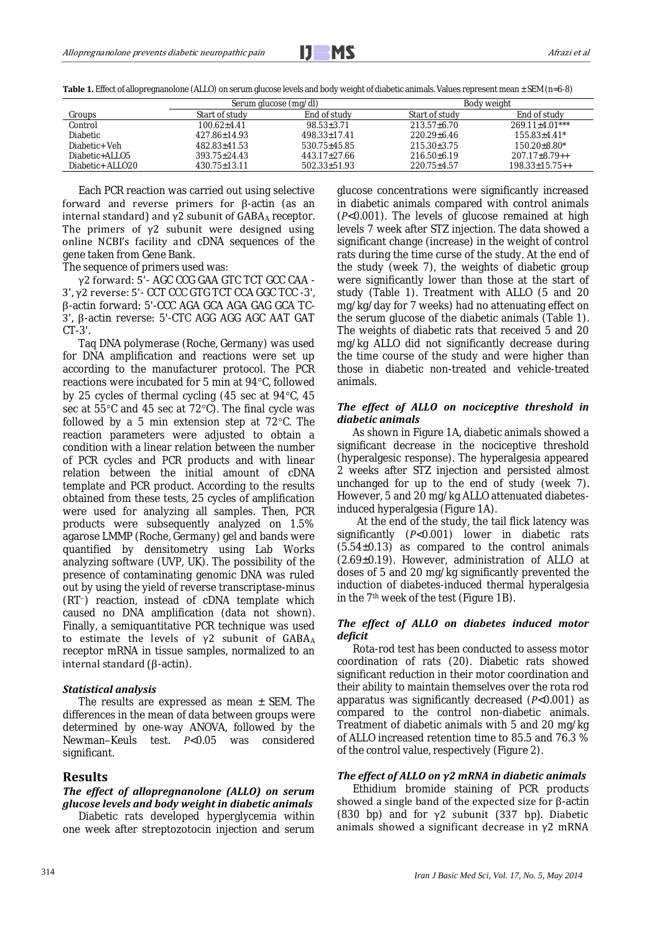Table 1. Effect of allopregnanolone (ALLO) on serum glucose levels and body weight of diabetic animals. Values represent mean ± SEM (n=6-8)

|                  | Serum glucose (mg/dl) |              | Body weight       |                      |
|------------------|-----------------------|--------------|-------------------|----------------------|
| Groups           | Start of study        | End of study | Start of study    | End of study         |
| Control          | 100.62+4.41           | 98.53+3.71   | $213.57 + 6.70$   | $269.11 + 4.01***$   |
| Diabetic         | 427.86+14.93          | 498.33+17.41 | 220.29+6.46       | $15583+441*$         |
| Diabetic+ Veh    | 482.83+41.53          | 530.75+45.85 | 215.30+3.75       | $15020+880*$         |
| Diabetic+ALLO5   | 393.75+24.43          | 443.17+27.66 | 216.50+6.19       | $207.17 + 8.79 + +$  |
| Diabetic+ ALLO20 | $430.75 \pm 13.11$    | 502.33+51.93 | $220.75 \pm 4.57$ | $198.33 + 15.75 + +$ |

Each PCR reaction was carried out using selective forward and reverse primers for β-actin (as an internal standard) and  $γ2$  subunit of GABAA receptor. The primers of  $\gamma$ 2 subunit were designed using online NCBI's facility and cDNA sequences of the gene taken from Gene Bank.

The sequence of primers used was:

γ2 forward: 5'- AGC CCG GAA GTC TCT GCC CAA - 3', γ2 reverse: 5'- CCT CCC GTG TCT CCA GGC TCC -3', β-actin forward: 5'-CCC AGA GCA AGA GAG GCA TC-3', β-actin reverse: 5'-CTC AGG AGG AGC AAT GAT CT-3'.

Taq DNA polymerase (Roche, Germany) was used for DNA amplification and reactions were set up according to the manufacturer protocol. The PCR reactions were incubated for 5 min at 94°C, followed by 25 cycles of thermal cycling (45 sec at 94°C, 45 sec at 55°C and 45 sec at 72°C). The final cycle was followed by a 5 min extension step at  $72^{\circ}$ C. The reaction parameters were adjusted to obtain a condition with a linear relation between the number of PCR cycles and PCR products and with linear relation between the initial amount of cDNA template and PCR product. According to the results obtained from these tests, 25 cycles of amplification were used for analyzing all samples. Then, PCR products were subsequently analyzed on 1.5% agarose LMMP (Roche, Germany) gel and bands were quantified by densitometry using Lab Works analyzing software (UVP, UK). The possibility of the presence of contaminating genomic DNA was ruled out by using the yield of reverse transcriptase-minus (RT−) reaction, instead of cDNA template which caused no DNA amplification (data not shown). Finally, a semiquantitative PCR technique was used to estimate the levels of  $γ2$  subunit of  $GABA_A$ receptor mRNA in tissue samples, normalized to an internal standard (β-actin).

#### *Statistical analysis*

The results are expressed as mean  $\pm$  SEM. The differences in the mean of data between groups were determined by one-way ANOVA, followed by the Newman–Keuls test. *P*<0.05 was considered significant.

#### **Results**

# *The effect of allopregnanolone (ALLO) on serum glucose levels and body weight in diabetic animals*

Diabetic rats developed hyperglycemia within one week after streptozotocin injection and serum glucose concentrations were significantly increased in diabetic animals compared with control animals (*P*<0.001). The levels of glucose remained at high levels 7 week after STZ injection. The data showed a significant change (increase) in the weight of control rats during the time curse of the study. At the end of the study (week 7), the weights of diabetic group were significantly lower than those at the start of study (Table 1). Treatment with ALLO (5 and 20 mg/kg/day for 7 weeks) had no attenuating effect on the serum glucose of the diabetic animals (Table 1). The weights of diabetic rats that received 5 and 20 mg/kg ALLO did not significantly decrease during the time course of the study and were higher than those in diabetic non-treated and vehicle-treated animals.

## *The effect of ALLO on nociceptive threshold in diabetic animals*

As shown in Figure 1A, diabetic animals showed a significant decrease in the nociceptive threshold (hyperalgesic response). The hyperalgesia appeared 2 weeks after STZ injection and persisted almost unchanged for up to the end of study (week 7). However, 5 and 20 mg/kg ALLO attenuated diabetesinduced hyperalgesia (Figure 1A).

At the end of the study, the tail flick latency was significantly (*P*<0.001) lower in diabetic rats  $(5.54±0.13)$  as compared to the control animals (2.69±0.19). However, administration of ALLO at doses of 5 and 20 mg/kg significantly prevented the induction of diabetes-induced thermal hyperalgesia in the 7<sup>th</sup> week of the test (Figure 1B).

## *The effect of ALLO on diabetes induced motor deficit*

Rota-rod test has been conducted to assess motor coordination of rats (20). Diabetic rats showed significant reduction in their motor coordination and their ability to maintain themselves over the rota rod apparatus was significantly decreased (*P*<0.001) as compared to the control non-diabetic animals. Treatment of diabetic animals with 5 and 20 mg/kg of ALLO increased retention time to 85.5 and 76.3 % of the control value, respectively (Figure 2).

#### *The effect of ALLO on γ2 mRNA in diabetic animals*

Ethidium bromide staining of PCR products showed a single band of the expected size for  $β$ -actin (830 bp) and for  $\gamma$ 2 subunit (337 bp). Diabetic animals showed a significant decrease in  $\gamma$ 2 mRNA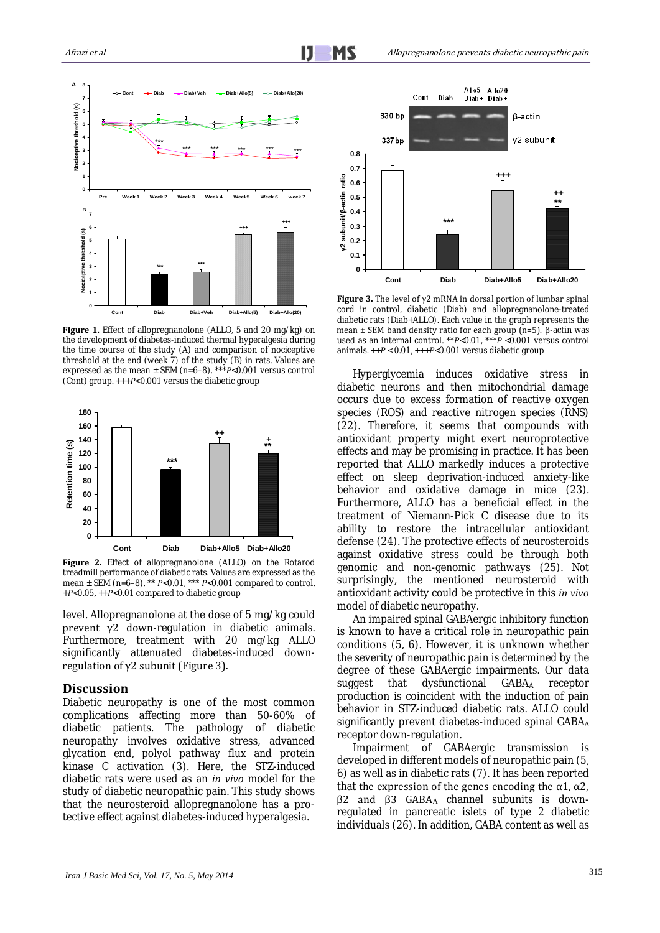

Figure 1. Effect of allopregnanolone (ALLO, 5 and 20 mg/kg) on the development of diabetes-induced thermal hyperalgesia during the time course of the study (A) and comparison of nociceptive threshold at the end (week 7) of the study (B) in rats. Values are expressed as the mean ± SEM (n=6–8). \*\*\**P*<0.001 versus control (Cont) group. +++*P*<0.001 versus the diabetic group



**Figure 2.** Effect of allopregnanolone (ALLO) on the Rotarod treadmill performance of diabetic rats. Values are expressed as the mean ± SEM (n=6–8). \*\* *P*<0.01, \*\*\* *P*<0.001 compared to control. +*P*<0.05, ++*P*<0.01 compared to diabetic group

level. Allopregnanolone at the dose of 5 mg/kg could prevent γ2 down-regulation in diabetic animals. Furthermore, treatment with 20 mg/kg ALLO significantly attenuated diabetes-induced downregulation of γ2 subunit (Figure 3).

## **Discussion**

Diabetic neuropathy is one of the most common complications affecting more than 50-60% of diabetic patients. The pathology of diabetic neuropathy involves oxidative stress, advanced glycation end, polyol pathway flux and protein kinase C activation (3). Here, the STZ-induced diabetic rats were used as an *in vivo* model for the study of diabetic neuropathic pain. This study shows that the neurosteroid allopregnanolone has a protective effect against diabetes-induced hyperalgesia.



**Figure 3.** The level of  $\gamma$ 2 mRNA in dorsal portion of lumbar spinal cord in control, diabetic (Diab) and allopregnanolone-treated diabetic rats (Diab+ALLO). Each value in the graph represents the mean ± SEM band density ratio for each group (n=5). β-actin was used as an internal control. \*\**P*<0.01, \*\*\**P* <0.001 versus control animals. ++*P* < 0.01, +++*P*<0.001 versus diabetic group

Hyperglycemia induces oxidative stress in diabetic neurons and then mitochondrial damage occurs due to excess formation of reactive oxygen species (ROS) and reactive nitrogen species (RNS) (22). Therefore, it seems that compounds with antioxidant property might exert neuroprotective effects and may be promising in practice. It has been reported that ALLO markedly induces a protective effect on sleep deprivation-induced anxiety-like behavior and oxidative damage in mice (23). Furthermore, ALLO has a beneficial effect in the treatment of Niemann-Pick C disease due to its ability to restore the intracellular antioxidant defense (24). The protective effects of neurosteroids against oxidative stress could be through both genomic and non-genomic pathways (25). Not surprisingly, the mentioned neurosteroid with antioxidant activity could be protective in this *in vivo* model of diabetic neuropathy.

An impaired spinal GABAergic inhibitory function is known to have a critical role in neuropathic pain conditions (5, 6). However, it is unknown whether the severity of neuropathic pain is determined by the degree of these GABAergic impairments. Our data suggest that dysfunctional GABA<sub>A</sub> receptor production is coincident with the induction of pain behavior in STZ-induced diabetic rats. ALLO could significantly prevent diabetes-induced spinal GABAA receptor down-regulation.

Impairment of GABAergic transmission is developed in different models of neuropathic pain (5, 6) as well as in diabetic rats (7). It has been reported that the expression of the genes encoding the  $\alpha$ 1,  $\alpha$ 2, β2 and β3 GABA<sup>A</sup> channel subunits is downregulated in pancreatic islets of type 2 diabetic individuals (26). In addition, GABA content as well as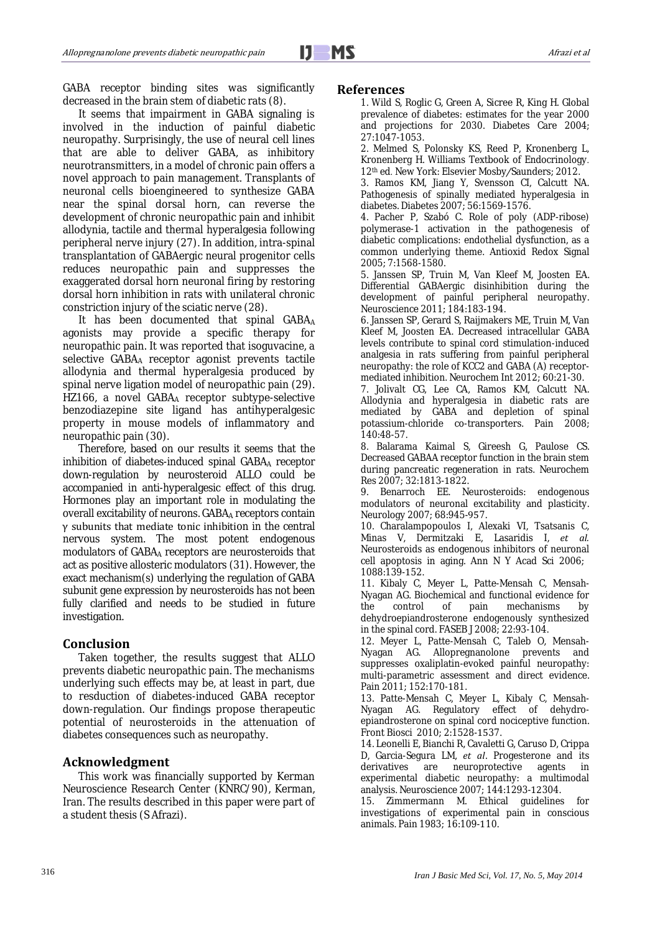GABA receptor binding sites was significantly decreased in the brain stem of diabetic rats (8).

It seems that impairment in GABA signaling is involved in the induction of painful diabetic neuropathy. Surprisingly, the use of neural cell lines that are able to deliver GABA, as inhibitory neurotransmitters, in a model of chronic pain offers a novel approach to pain management. Transplants of neuronal cells bioengineered to synthesize GABA near the spinal dorsal horn, can reverse the development of chronic neuropathic pain and inhibit allodynia, tactile and thermal hyperalgesia following peripheral nerve injury (27). In addition, intra-spinal transplantation of GABAergic neural progenitor cells reduces neuropathic pain and suppresses the exaggerated dorsal horn neuronal firing by restoring dorsal horn inhibition in rats with unilateral chronic constriction injury of the sciatic nerve (28).

It has been documented that spinal GABAA agonists may provide a specific therapy for neuropathic pain. It was reported that isoguvacine, a selective GABAA receptor agonist prevents tactile allodynia and thermal hyperalgesia produced by spinal nerve ligation model of neuropathic pain (29). HZ166, a novel GABAA receptor subtype-selective benzodiazepine site ligand has antihyperalgesic property in mouse models of inflammatory and neuropathic pain (30).

Therefore, based on our results it seems that the inhibition of diabetes-induced spinal  $GABA_A$  receptor down-regulation by neurosteroid ALLO could be accompanied in anti-hyperalgesic effect of this drug. Hormones play an important role in modulating the overall excitability of neurons. GABAA receptors contain γ subunits that mediate tonic inhibition in the central nervous system. The most potent endogenous modulators of GABAA receptors are neurosteroids that act as positive allosteric modulators (31). However, the exact mechanism(s) underlying the regulation of GABA subunit gene expression by neurosteroids has not been fully clarified and needs to be studied in future investigation.

# **Conclusion**

Taken together, the results suggest that ALLO prevents diabetic neuropathic pain. The mechanisms underlying such effects may be, at least in part, due to resduction of diabetes-induced GABA receptor down-regulation. Our findings propose therapeutic potential of neurosteroids in the attenuation of diabetes consequences such as neuropathy.

# **Acknowledgment**

This work was financially supported by Kerman Neuroscience Research Center (KNRC/90), Kerman, Iran. The results described in this paper were part of a student thesis (S Afrazi).

## **References**

1. [Wild S,](http://www.ncbi.nlm.nih.gov/pubmed?term=%22Wild%20S%22%5BAuthor%5D) [Roglic G,](http://www.ncbi.nlm.nih.gov/pubmed?term=%22Roglic%20G%22%5BAuthor%5D) Green A, [Sicree R,](http://www.ncbi.nlm.nih.gov/pubmed?term=%22Sicree%20R%22%5BAuthor%5D) King H. Global prevalence of diabetes: estimates for the year 2000 and projections for 2030. [Diabetes Care](http://www.ncbi.nlm.nih.gov/pubmed?term=WILD%20S%2C%20ROGLIC%20G%2C) 2004; 27:1047-1053.

2. Melmed S, Polonsky KS, Reed P, Kronenberg L, Kronenberg H. Williams Textbook of Endocrinology. 12th ed. New York: Elsevier Mosby*/*Saunders; 2012.

3. Ramos KM, Jiang Y, Svensson CI, Calcutt NA. [Pathogenesis of spinally mediated hyperalgesia in](http://www.ncbi.nlm.nih.gov/pubmed/17287466)  [diabetes.](http://www.ncbi.nlm.nih.gov/pubmed/17287466) Diabetes 2007; 56:1569-1576.

4. [Pacher P,](http://www.ncbi.nlm.nih.gov/pubmed?term=%22Pacher%20P%22%5BAuthor%5D) [Szabó C.](http://www.ncbi.nlm.nih.gov/pubmed?term=%22Szab%C3%B3%20C%22%5BAuthor%5D) Role of poly (ADP-ribose) polymerase-1 activation in the pathogenesis of diabetic complications: endothelial dysfunction, as a common underlying theme. Antioxid [Redox Signal](http://www.ncbi.nlm.nih.gov/pubmed/16356120)  2005; 7:1568-1580.

5. [Janssen SP,](http://www.ncbi.nlm.nih.gov/pubmed?term=Janssen%20SP%5BAuthor%5D&cauthor=true&cauthor_uid=21496475) [Truin M,](http://www.ncbi.nlm.nih.gov/pubmed?term=Truin%20M%5BAuthor%5D&cauthor=true&cauthor_uid=21496475) [Van Kleef M,](http://www.ncbi.nlm.nih.gov/pubmed?term=Van%20Kleef%20M%5BAuthor%5D&cauthor=true&cauthor_uid=21496475) [Joosten EA.](http://www.ncbi.nlm.nih.gov/pubmed?term=Joosten%20EA%5BAuthor%5D&cauthor=true&cauthor_uid=21496475)  Differential GABAergic disinhibition during the development of painful peripheral neuropathy. [Neuroscience](http://www.ncbi.nlm.nih.gov/pubmed/21496475##) 2011; 184:183-194.

6[. Janssen SP,](http://www.ncbi.nlm.nih.gov/pubmed?term=Janssen%20SP%5BAuthor%5D&cauthor=true&cauthor_uid=22107704) [Gerard S,](http://www.ncbi.nlm.nih.gov/pubmed?term=Gerard%20S%5BAuthor%5D&cauthor=true&cauthor_uid=22107704) [Raijmakers ME,](http://www.ncbi.nlm.nih.gov/pubmed?term=Raijmakers%20ME%5BAuthor%5D&cauthor=true&cauthor_uid=22107704) [Truin M,](http://www.ncbi.nlm.nih.gov/pubmed?term=Truin%20M%5BAuthor%5D&cauthor=true&cauthor_uid=22107704) [Van](http://www.ncbi.nlm.nih.gov/pubmed?term=Van%20Kleef%20M%5BAuthor%5D&cauthor=true&cauthor_uid=22107704)  [Kleef M,](http://www.ncbi.nlm.nih.gov/pubmed?term=Van%20Kleef%20M%5BAuthor%5D&cauthor=true&cauthor_uid=22107704) [Joosten EA.](http://www.ncbi.nlm.nih.gov/pubmed?term=Joosten%20EA%5BAuthor%5D&cauthor=true&cauthor_uid=22107704) Decreased intracellular GABA levels contribute to spinal cord stimulation-induced analgesia in rats suffering from painful peripheral neuropathy: the role of KCC2 and GABA (A) receptormediated inhibition. [Neurochem Int](http://www.ncbi.nlm.nih.gov/pubmed/22107704##) 2012; 60:21-30.

7. Jolivalt CG, Lee CA, Ramos KM, Calcutt NA. Allodynia and hyperalgesia in diabetic rats are mediated by GABA and depletion of spinal potassium-chloride co-transporters. Pain 2008; 140:48-57.

8. [Balarama Kaimal S,](http://www.ncbi.nlm.nih.gov/pubmed?term=Balarama%20Kaimal%20S%5BAuthor%5D&cauthor=true&cauthor_uid=17701353) [Gireesh G,](http://www.ncbi.nlm.nih.gov/pubmed?term=Gireesh%20G%5BAuthor%5D&cauthor=true&cauthor_uid=17701353) Paulose CS. Decreased GABAA receptor function in the brain stem during pancreatic regeneration in rats. [Neurochem](http://www.ncbi.nlm.nih.gov/pubmed/17701353##)  [Res](http://www.ncbi.nlm.nih.gov/pubmed/17701353##) 2007; 32:1813-1822.

9. Benarroch EE. [Neurosteroids: endogenous](http://www.ncbi.nlm.nih.gov/pubmed/17372131)  [modulators of neuronal excitability and plasticity.](http://www.ncbi.nlm.nih.gov/pubmed/17372131) Neurology 2007; 68:945-957.

10. Charalampopoulos I, Alexaki VI, Tsatsanis C, Minas V, Dermitzaki E, Lasaridis I, *et al.*  [Neurosteroids as endogenous inhibitors of neuronal](http://www.ncbi.nlm.nih.gov/pubmed/17192562)  [cell apoptosis in aging.](http://www.ncbi.nlm.nih.gov/pubmed/17192562) Ann N Y Acad Sci 2006; 1088:139-152.

11. Kibaly C, [Meyer L,](http://www.ncbi.nlm.nih.gov/pubmed?term=Meyer%20L%5BAuthor%5D&cauthor=true&cauthor_uid=17720801) [Patte-Mensah C,](http://www.ncbi.nlm.nih.gov/pubmed?term=Patte-Mensah%20C%5BAuthor%5D&cauthor=true&cauthor_uid=17720801) [Mensah-](http://www.ncbi.nlm.nih.gov/pubmed?term=Mensah-Nyagan%20AG%5BAuthor%5D&cauthor=true&cauthor_uid=17720801)[Nyagan AG.](http://www.ncbi.nlm.nih.gov/pubmed?term=Mensah-Nyagan%20AG%5BAuthor%5D&cauthor=true&cauthor_uid=17720801) Biochemical and functional evidence for the control of pain mechanisms by dehydroepiandrosterone endogenously synthesized in the spinal cord. [FASEB J](http://www.ncbi.nlm.nih.gov/pubmed?term=Biochemical%20and%20functional%20evidence%20for%20the%20control%20of%20pain%20mechanisms%20by%20dehydroepiandrosterone%20endogenously%20synthesized%20in%20the%20spinal%20cord##) 2008; 22:93-104.

12. Meyer L, Patte-Mensah C, Taleb O, Mensah-Nyagan AG. Allopregnanolone prevents and suppresses oxaliplatin-evoked painful neuropathy: multi-parametric assessment and direct evidence. Pain 2011; 152:170-181.

1[3.](http://www.ncbi.nlm.nih.gov/pubmed?term=Patte-Mensah%20C%5BAuthor%5D&cauthor=true&cauthor_uid=20515824) [Patte-Mensah C,](http://www.ncbi.nlm.nih.gov/pubmed?term=Patte-Mensah%20C%5BAuthor%5D&cauthor=true&cauthor_uid=20515824) [Meyer L,](http://www.ncbi.nlm.nih.gov/pubmed?term=Meyer%20L%5BAuthor%5D&cauthor=true&cauthor_uid=20515824) [Kibaly C,](http://www.ncbi.nlm.nih.gov/pubmed?term=Kibaly%20C%5BAuthor%5D&cauthor=true&cauthor_uid=20515824) [Mensah-](http://www.ncbi.nlm.nih.gov/pubmed?term=Mensah-Nyagan%20AG%5BAuthor%5D&cauthor=true&cauthor_uid=20515824)[Nyagan AG.](http://www.ncbi.nlm.nih.gov/pubmed?term=Mensah-Nyagan%20AG%5BAuthor%5D&cauthor=true&cauthor_uid=20515824) Regulatory effect of dehydroepiandrosterone on spinal cord nociceptive function. [Front Biosci](http://www.ncbi.nlm.nih.gov/pubmed/20515824##) 2010; 2:1528-1537.

14. Leonelli E, Bianchi R[, Cavaletti G,](http://www.ncbi.nlm.nih.gov/pubmed?term=Cavaletti%20G%5BAuthor%5D&cauthor=true&cauthor_uid=17187935) Caruso D, Crippa D, Garcia-Segura LM, *et al*. Progesterone and its derivatives are neuroprotective agents in experimental diabetic neuropathy: a multimodal analysis[. Neuroscience](http://www.ncbi.nlm.nih.gov/pubmed?term=neurosteroids%20streptozotocin%20(STZ)-induced%20diabetic%20neuropathy%20at%20the%20neurophysiological%2C%20functional%2C%20biochemical%20and%20neuropathological%20levels##) 2007; 144:1293-12304.

15. Zimmermann M. Ethical guidelines for investigations of experimental pain in conscious animals. Pain 1983; 16:109-110.